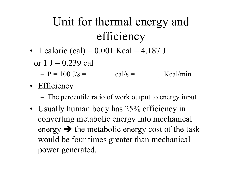## Unit for thermal energy and efficiency

• 1 calorie (cal) = 0.001 Kcal = 4.187 J

or  $1 J = 0.239$  cal

 $-P = 100 \text{ J/s} =$  cal/s = cal/s = Kcal/min

• Efficiency

– The percentile ratio of work output to energy input

• Usually human body has 25% efficiency in converting metabolic energy into mechanical energy  $\rightarrow$  the metabolic energy cost of the task would be four times greater than mechanical power generated.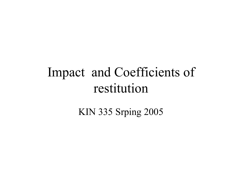# Impact and Coefficients of restitution

**KIN 335 Srping 2005**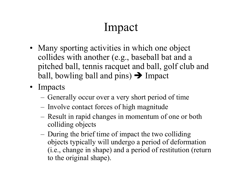### Impact

- Many sporting activities in which one object collides with another (e.g., baseball bat and a pitched ball, tennis racquet and ball, golf club and ball, bowling ball and pins)  $\rightarrow$  Impact
- Impacts
	- –– Generally occur over a very short period of time
	- –- Involve contact forces of high magnitude
	- Result in rapid changes in momentum of one or both colliding objects
	- – During the brief time of impact the two colliding objects typically will undergo a period of deformation (i.e., change in shape) and a period of restitution (return to the original shape).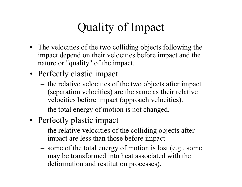### Quality of Impact

- The velocities of the two colliding objects following the impact depend on their velocities before impact and the nature or "quality" of the impact.
- Perfectly elastic impact
	- the relative velocities of the two objects after impact (separation velocities) are the same as their relative velocities before impact (approach velocities).
	- the total energy of motion is not changed.
- Perfectly plastic impact
	- the relative velocities of the colliding objects after impact are less than those before impact
	- some of the total energy of motion is lost (e.g., some may be transformed into heat associated with the deformation and restitution processes).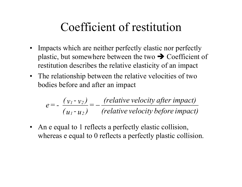#### Coefficient of restitution

- Impacts which are neither perfectly elastic nor perfectly plastic, but somewhere between the two  $\rightarrow$  Coefficient of restitution describes the relative elasticity of an impact
- The relationship between the relative velocities of two bodies before and after an impact

$$
e = -\frac{(v_1 - v_2)}{(u_1 - u_2)} = -\frac{(relative velocity after impact)}{(relative velocity before impact)}
$$

• An e equal to 1 reflects a perfectly elastic collision, whereas e equal to 0 reflects a perfectly plastic collision.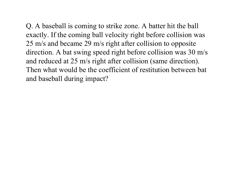Q. A baseball is coming to strike zone. A batter hit the ball exactly. If the coming ball velocity right before collision was 25 m/s and became 29 m/s right after collision to opposite direction. A bat swing speed right before collision was 30 m/s and reduced at 25 m/s right after collision (same direction). Then what would be the coefficient of restitution between bat and baseball during impact?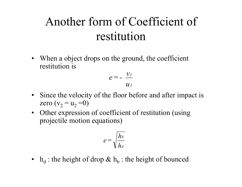#### Another form of Coefficient of restitution

• When a object drops on the ground, the coefficient restitution is

$$
e=-\frac{v_I}{u_I}
$$

- Since the velocity of the floor before and after impact is zero (v $_2$  = u $_2$  =0)
- Other expression of coefficient of restitution (using projectile motion equations)

$$
e = \sqrt{\frac{h_b}{h_d}}
$$

•  $h_d$ : the height of drop  $\&$   $h_b$ : the height of bounced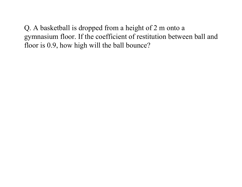Q. A basketball is dropped from a height of 2 m onto a gymnasium floor. If the coefficient of restitution between ball and floor is 0.9, how high will the ball bounce?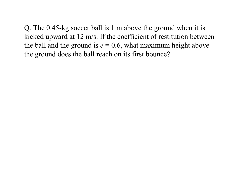Q. The 0.45-kg soccer ball is 1 m above the ground when it is kicked upward at 12 m/s. If the coefficient of restitution between the ball and the ground is  $e = 0.6$ , what maximum height above the ground does the ball reach on its first bounce?